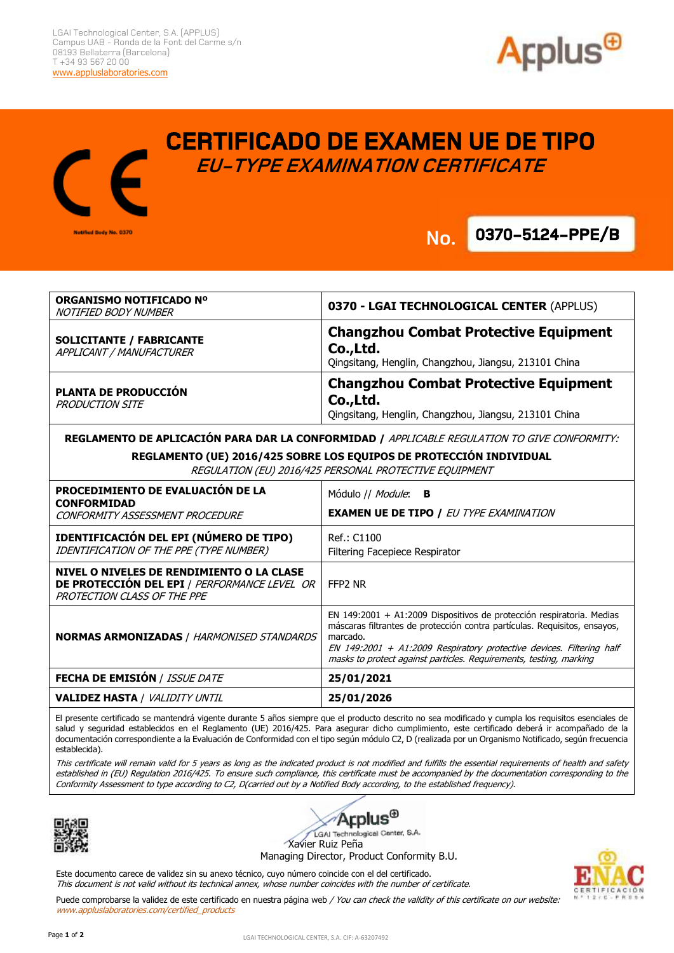



## **CERTIFICADO DE EXAMEN UE DE TIPO EU-TYPE EXAMINATION CERTIFICATE**

**No.**

**.**

**0370-5124-PPE/B No.**

| <b>ORGANISMO NOTIFICADO Nº</b><br>NOTIFIED BODY NUMBER                                                                          | 0370 - LGAI TECHNOLOGICAL CENTER (APPLUS)                                                                                                                                                                                                                                                                    |
|---------------------------------------------------------------------------------------------------------------------------------|--------------------------------------------------------------------------------------------------------------------------------------------------------------------------------------------------------------------------------------------------------------------------------------------------------------|
| <b>SOLICITANTE / FABRICANTE</b><br>APPLICANT / MANUFACTURER                                                                     | <b>Changzhou Combat Protective Equipment</b><br>Co., Ltd.<br>Qingsitang, Henglin, Changzhou, Jiangsu, 213101 China                                                                                                                                                                                           |
| <b>PLANTA DE PRODUCCIÓN</b><br><b>PRODUCTION SITE</b>                                                                           | <b>Changzhou Combat Protective Equipment</b><br>Co.,Ltd.<br>Qingsitang, Henglin, Changzhou, Jiangsu, 213101 China                                                                                                                                                                                            |
| REGLAMENTO DE APLICACIÓN PARA DAR LA CONFORMIDAD / APPLICABLE REGULATION TO GIVE CONFORMITY:                                    |                                                                                                                                                                                                                                                                                                              |
| REGLAMENTO (UE) 2016/425 SOBRE LOS EQUIPOS DE PROTECCIÓN INDIVIDUAL<br>REGULATION (EU) 2016/425 PERSONAL PROTECTIVE EQUIPMENT   |                                                                                                                                                                                                                                                                                                              |
| PROCEDIMIENTO DE EVALUACIÓN DE LA<br><b>CONFORMIDAD</b><br>CONFORMITY ASSESSMENT PROCEDURE                                      | Módulo // <i>Module</i> : <b>B</b><br><b>EXAMEN UE DE TIPO / EU TYPE EXAMINATION</b>                                                                                                                                                                                                                         |
| IDENTIFICACIÓN DEL EPI (NÚMERO DE TIPO)<br>IDENTIFICATION OF THE PPE (TYPE NUMBER)                                              | Ref.: C1100<br>Filtering Facepiece Respirator                                                                                                                                                                                                                                                                |
| NIVEL O NIVELES DE RENDIMIENTO O LA CLASE<br><b>DE PROTECCIÓN DEL EPI / PERFORMANCE LEVEL OR</b><br>PROTECTION CLASS OF THE PPE | FFP2 NR                                                                                                                                                                                                                                                                                                      |
| <b>NORMAS ARMONIZADAS / HARMONISED STANDARDS</b>                                                                                | EN 149:2001 + A1:2009 Dispositivos de protección respiratoria. Medias<br>máscaras filtrantes de protección contra partículas. Requisitos, ensayos,<br>marcado.<br>EN 149:2001 + A1:2009 Respiratory protective devices. Filtering half<br>masks to protect against particles. Requirements, testing, marking |
| <b>FECHA DE EMISIÓN / ISSUE DATE</b>                                                                                            | 25/01/2021                                                                                                                                                                                                                                                                                                   |
| <b>VALIDEZ HASTA / VALIDITY UNTIL</b>                                                                                           | 25/01/2026                                                                                                                                                                                                                                                                                                   |

El presente certificado se mantendrá vigente durante 5 años siempre que el producto descrito no sea modificado y cumpla los requisitos esenciales de salud y seguridad establecidos en el Reglamento (UE) 2016/425. Para asegurar dicho cumplimiento, este certificado deberá ir acompañado de la documentación correspondiente a la Evaluación de Conformidad con el tipo según módulo C2, D (realizada por un Organismo Notificado, según frecuencia establecida).

This certificate will remain valid for 5 years as long as the indicated product is not modified and fulfills the essential requirements of health and safety established in (EU) Regulation 2016/425. To ensure such compliance, this certificate must be accompanied by the documentation corresponding to the Conformity Assessment to type according to C2, D(carried out by a Notified Body according, to the established frequency).



Ξ



LGAI Technological Center, S.A. Xavier Ruiz Peña

Managing Director, Product Conformity B.U.

Este documento carece de validez sin su anexo técnico, cuyo número coincide con el del certificado. This document is not valid without its technical annex, whose number coincides with the number of certificate.



Puede comprobarse la validez de este certificado en nuestra página web / You can check the validity of this certificate on our website: www.appluslaboratories.com/certified\_products